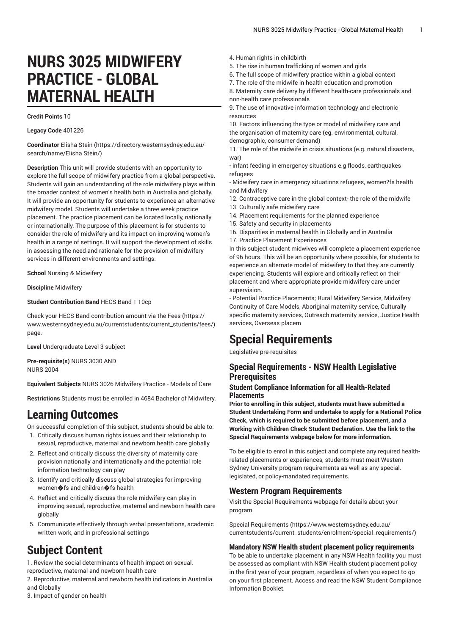# **NURS 3025 MIDWIFERY PRACTICE - GLOBAL MATERNAL HEALTH**

#### **Credit Points** 10

#### **Legacy Code** 401226

**Coordinator** [Elisha Stein \(https://directory.westernsydney.edu.au/](https://directory.westernsydney.edu.au/search/name/Elisha Stein/) [search/name/Elisha](https://directory.westernsydney.edu.au/search/name/Elisha Stein/) Stein/)

**Description** This unit will provide students with an opportunity to explore the full scope of midwifery practice from a global perspective. Students will gain an understanding of the role midwifery plays within the broader context of women's health both in Australia and globally. It will provide an opportunity for students to experience an alternative midwifery model. Students will undertake a three week practice placement. The practice placement can be located locally, nationally or internationally. The purpose of this placement is for students to consider the role of midwifery and its impact on improving women's health in a range of settings. It will support the development of skills in assessing the need and rationale for the provision of midwifery services in different environments and settings.

**School** Nursing & Midwifery

### **Discipline** Midwifery

### **Student Contribution Band** HECS Band 1 10cp

Check your HECS Band contribution amount via the [Fees \(https://](https://www.westernsydney.edu.au/currentstudents/current_students/fees/) [www.westernsydney.edu.au/currentstudents/current\\_students/fees/\)](https://www.westernsydney.edu.au/currentstudents/current_students/fees/) page.

**Level** Undergraduate Level 3 subject

**Pre-requisite(s)** [NURS 3030](/search/?P=NURS%203030) AND [NURS 2004](/search/?P=NURS%202004)

**Equivalent Subjects** NURS 3026 Midwifery Practice - Models of Care

**Restrictions** Students must be enrolled in 4684 Bachelor of Midwifery.

## **Learning Outcomes**

On successful completion of this subject, students should be able to:

- 1. Critically discuss human rights issues and their relationship to sexual, reproductive, maternal and newborn health care globally
- 2. Reflect and critically discuss the diversity of maternity care provision nationally and internationally and the potential role information technology can play
- 3. Identify and critically discuss global strategies for improving women $\bigcirc$ fs and children $\bigcirc$ fs health
- 4. Reflect and critically discuss the role midwifery can play in improving sexual, reproductive, maternal and newborn health care globally
- 5. Communicate effectively through verbal presentations, academic written work, and in professional settings

## **Subject Content**

1. Review the social determinants of health impact on sexual, reproductive, maternal and newborn health care

2. Reproductive, maternal and newborn health indicators in Australia and Globally

3. Impact of gender on health

- 4. Human rights in childbirth
- 5. The rise in human trafficking of women and girls
- 6. The full scope of midwifery practice within a global context
- 7. The role of the midwife in health education and promotion

8. Maternity care delivery by different health-care professionals and non-health care professionals

9. The use of innovative information technology and electronic resources

10. Factors influencing the type or model of midwifery care and the organisation of maternity care (eg. environmental, cultural, demographic, consumer demand)

11. The role of the midwife in crisis situations (e.g. natural disasters, war)

- infant feeding in emergency situations e.g floods, earthquakes refugees

- Midwifery care in emergency situations refugees, women?fs health and Midwifery

12. Contraceptive care in the global context- the role of the midwife 13. Culturally safe midwifery care

- 14. Placement requirements for the planned experience
- 15. Safety and security in placements

16. Disparities in maternal health in Globally and in Australia 17. Practice Placement Experiences

In this subject student midwives will complete a placement experience of 96 hours. This will be an opportunity where possible, for students to experience an alternate model of midwifery to that they are currently experiencing. Students will explore and critically reflect on their placement and where appropriate provide midwifery care under supervision.

- Potential Practice Placements; Rural Midwifery Service, Midwifery Continuity of Care Models, Aboriginal maternity service, Culturally specific maternity services, Outreach maternity service, Justice Health services, Overseas placem

## **Special Requirements**

Legislative pre-requisites

## **Special Requirements - NSW Health Legislative Prerequisites**

### **Student Compliance Information for all Health-Related Placements**

**Prior to enrolling in this subject, students must have submitted a Student Undertaking Form and undertake to apply for a National Police Check, which is required to be submitted before placement, and a Working with Children Check Student Declaration. Use the link to the Special Requirements webpage below for more information.**

To be eligible to enrol in this subject and complete any required healthrelated placements or experiences, students must meet Western Sydney University program requirements as well as any special, legislated, or policy-mandated requirements.

## **Western Program Requirements**

Visit the Special Requirements webpage for details about your program.

Special [Requirements \(https://www.westernsydney.edu.au/](https://www.westernsydney.edu.au/currentstudents/current_students/enrolment/special_requirements/) [currentstudents/current\\_students/enrolment/special\\_requirements/](https://www.westernsydney.edu.au/currentstudents/current_students/enrolment/special_requirements/))

### **Mandatory NSW Health student placement policy requirements**

To be able to undertake placement in any NSW Health facility you must be assessed as compliant with NSW Health student placement policy in the first year of your program, regardless of when you expect to go on your first placement. Access and read the NSW Student Compliance Information Booklet.